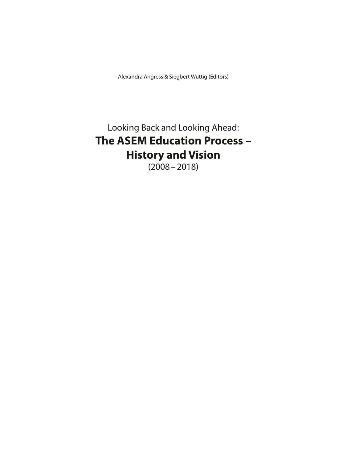Alexandra Angress & Siegbert Wuttig (Editors)

## Looking Back and Looking Ahead: **The ASEM Education Process – History and Vision**   $(2008 - 2018)$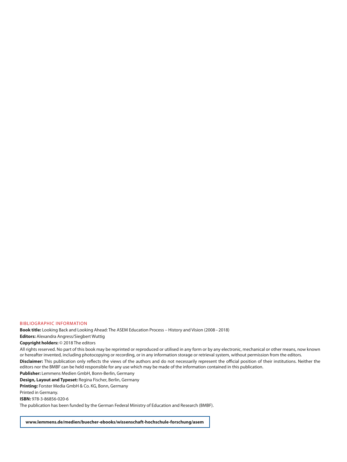#### BIBLIOGRAPHIC INFORMATION

**Book title:** Looking Back and Looking Ahead: The ASEM Education Process – History and Vision (2008–2018)

**Editors:** Alexandra Angress/Siegbert Wuttig

**Copyright holders:** © 2018 The editors

All rights reserved. No part of this book may be reprinted or reproduced or utilised in any form or by any electronic, mechanical or other means, now known or hereafter invented, including photocopying or recording, or in any information storage or retrieval system, without permission from the editors. **Disclaimer:** This publication only reflects the views of the authors and do not necessarily represent the official position of their institutions. Neither the editors nor the BMBF can be held responsible for any use which may be made of the information contained in this publication.

**Publisher:** Lemmens Medien GmbH, Bonn-Berlin, Germany

**Design, Layout and Typeset:** Regina Fischer, Berlin, Germany

**Printing:** Forster Media GmbH & Co. KG, Bonn, Germany

Printed in Germany.

**ISBN:** 978-3-86856-020-6

The publication has been funded by the German Federal Ministry of Education and Research (BMBF).

**www.lemmens.de/medien/buecher-ebooks/wissenschaft-hochschule-forschung/asem**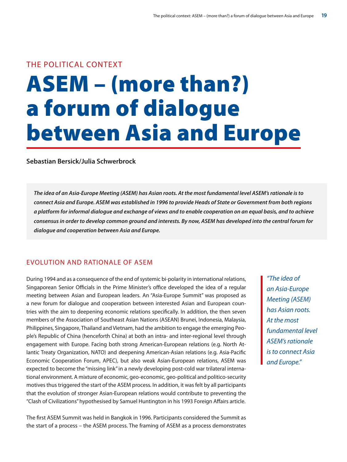### THE POLITICAL CONTEXT

# ASEM – (more than?) a forum of dialogue between Asia and Europe

**Sebastian Bersick/Julia Schwerbrock**

**The idea of an Asia-Europe Meeting (ASEM) has Asian roots. At the most fundamental level ASEM's rationale is to connect Asia and Europe. ASEM was established in 1996 to provide Heads of State or Government from both regions a platform for informal dialogue and exchange of views and to enable cooperation on an equal basis, and to achieve consensus in order to develop common ground and interests. By now, ASEM has developed into the central forum for dialogue and cooperation between Asia and Europe.**

#### EVOLUTION AND RATIONALE OF ASEM

During 1994 and as a consequence of the end of systemic bi-polarity in international relations, Singaporean Senior Officials in the Prime Minister's office developed the idea of a regular meeting between Asian and European leaders. An "Asia-Europe Summit" was proposed as a new forum for dialogue and cooperation between interested Asian and European countries with the aim to deepening economic relations specifically. In addition, the then seven members of the Association of Southeast Asian Nations (ASEAN) Brunei, Indonesia, Malaysia, Philippines, Singapore, Thailand and Vietnam, had the ambition to engage the emerging People's Republic of China (henceforth China) at both an intra- and inter-regional level through engagement with Europe. Facing both strong American-European relations (e.g. North Atlantic Treaty Organization, NATO) and deepening American-Asian relations (e.g. Asia-Pacific Economic Cooperation Forum, APEC), but also weak Asian-European relations, ASEM was expected to become the "missing link" in a newly developing post-cold war trilateral international environment. A mixture of economic, geo-economic, geo-political and politico-security motives thus triggered the start of the ASEM process. In addition, it was felt by all participants that the evolution of stronger Asian-European relations would contribute to preventing the "Clash of Civilizations" hypothesised by Samuel Huntington in his 1993 Foreign Affairs article.

The first ASEM Summit was held in Bangkok in 1996. Participants considered the Summit as the start of a process – the ASEM process. The framing of ASEM as a process demonstrates

"The idea of an Asia-Europe Meeting (ASEM) has Asian roots. At the most fundamental level ASEM's rationale is to connect Asia and Europe."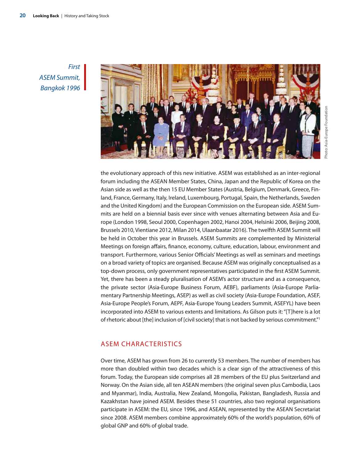First ASEM Summit, Bangkok 1996



the evolutionary approach of this new initiative. ASEM was established as an inter-regional forum including the ASEAN Member States, China, Japan and the Republic of Korea on the Asian side as well as the then 15 EU Member States (Austria, Belgium, Denmark, Greece, Finland, France, Germany, Italy, Ireland, Luxembourg, Portugal, Spain, the Netherlands, Sweden and the United Kingdom) and the European Commission on the European side. ASEM Summits are held on a biennial basis ever since with venues alternating between Asia and Europe (London 1998, Seoul 2000, Copenhagen 2002, Hanoi 2004, Helsinki 2006, Beijing 2008, Brussels 2010, Vientiane 2012, Milan 2014, Ulaanbaatar 2016). The twelfth ASEM Summit will be held in October this year in Brussels. ASEM Summits are complemented by Ministerial Meetings on foreign affairs, finance, economy, culture, education, labour, environment and transport. Furthermore, various Senior Officials' Meetings as well as seminars and meetings on a broad variety of topics are organised. Because ASEM was originally conceptualised as a top-down process, only government representatives participated in the first ASEM Summit. Yet, there has been a steady pluralisation of ASEM's actor structure and as a consequence, the private sector (Asia-Europe Business Forum, AEBF), parliaments (Asia-Europe Parliamentary Partnership Meetings, ASEP) as well as civil society (Asia-Europe Foundation, ASEF, Asia-Europe People's Forum, AEPF, Asia-Europe Young Leaders Summit, ASEFYL) have been incorporated into ASEM to various extents and limitations. As Gilson puts it: "[T]here is a lot of rhetoric about [the] inclusion of [civil society] that is not backed by serious commitment."1

#### ASEM CHARACTERISTICS

Over time, ASEM has grown from 26 to currently 53 members. The number of members has more than doubled within two decades which is a clear sign of the attractiveness of this forum. Today, the European side comprises all 28 members of the EU plus Switzerland and Norway. On the Asian side, all ten ASEAN members (the original seven plus Cambodia, Laos and Myanmar), India, Australia, New Zealand, Mongolia, Pakistan, Bangladesh, Russia and Kazakhstan have joined ASEM. Besides these 51 countries, also two regional organisations participate in ASEM: the EU, since 1996, and ASEAN, represented by the ASEAN Secretariat since 2008. ASEM members combine approximately 60% of the world's population, 60% of global GNP and 60% of global trade.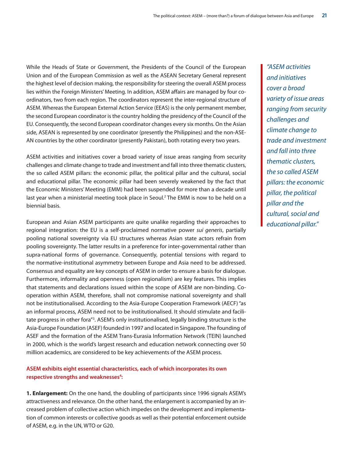While the Heads of State or Government, the Presidents of the Council of the European Union and of the European Commission as well as the ASEAN Secretary General represent the highest level of decision making, the responsibility for steering the overall ASEM process lies within the Foreign Ministers' Meeting. In addition, ASEM affairs are managed by four coordinators, two from each region. The coordinators represent the inter-regional structure of ASEM. Whereas the European External Action Service (EEAS) is the only permanent member, the second European coordinator is the country holding the presidency of the Council of the EU. Consequently, the second European coordinator changes every six months. On the Asian side, ASEAN is represented by one coordinator (presently the Philippines) and the non-ASE-AN countries by the other coordinator (presently Pakistan), both rotating every two years.

ASEM activities and initiatives cover a broad variety of issue areas ranging from security challenges and climate change to trade and investment and fall into three thematic clusters, the so called ASEM pillars: the economic pillar, the political pillar and the cultural, social and educational pillar. The economic pillar had been severely weakened by the fact that the Economic Ministers' Meeting (EMM) had been suspended for more than a decade until last year when a ministerial meeting took place in Seoul.<sup>2</sup> The EMM is now to be held on a biennial basis.

European and Asian ASEM participants are quite unalike regarding their approaches to regional integration: the EU is a self-proclaimed normative power *sui generis*, partially pooling national sovereignty via EU structures whereas Asian state actors refrain from pooling sovereignty. The latter results in a preference for inter-governmental rather than supra-national forms of governance. Consequently, potential tensions with regard to the normative-institutional asymmetry between Europe and Asia need to be addressed. Consensus and equality are key concepts of ASEM in order to ensure a basis for dialogue. Furthermore, informality and openness (open regionalism) are key features. This implies that statements and declarations issued within the scope of ASEM are non-binding. Cooperation within ASEM, therefore, shall not compromise national sovereignty and shall not be institutionalised. According to the Asia-Europe Cooperation Framework (AECF) "as an informal process, ASEM need not to be institutionalised. It should stimulate and facilitate progress in other fora"<sup>3</sup>. ASEM's only institutionalised, legally binding structure is the Asia-Europe Foundation (ASEF) founded in 1997 and located in Singapore. The founding of ASEF and the formation of the ASEM Trans-Eurasia Information Network (TEIN) launched in 2000, which is the world's largest research and education network connecting over 50 million academics, are considered to be key achievements of the ASEM process.

#### **ASEM exhibits eight essential characteristics, each of which incorporates its own**  respective strengths and weaknesses<sup>4</sup>:

**1. Enlargement:** On the one hand, the doubling of participants since 1996 signals ASEM's attractiveness and relevance. On the other hand, the enlargement is accompanied by an increased problem of collective action which impedes on the development and implementation of common interests or collective goods as well as their potential enforcement outside of ASEM, e.g. in the UN, WTO or G20.

"ASEM activities and initiatives cover a broad variety of issue areas ranging from security challenges and climate change to trade and investment and fall into three thematic clusters, the so called ASEM pillars: the economic pillar, the political pillar and the cultural, social and educational pillar."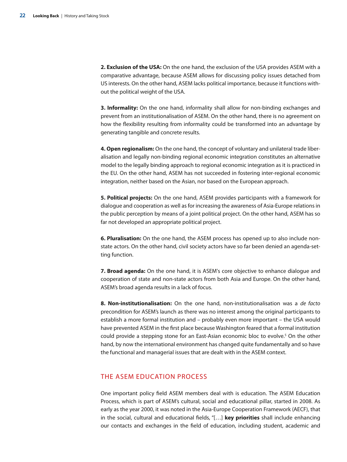**2. Exclusion of the USA:** On the one hand, the exclusion of the USA provides ASEM with a comparative advantage, because ASEM allows for discussing policy issues detached from US interests. On the other hand, ASEM lacks political importance, because it functions without the political weight of the USA.

**3. Informality:** On the one hand, informality shall allow for non-binding exchanges and prevent from an institutionalisation of ASEM. On the other hand, there is no agreement on how the flexibility resulting from informality could be transformed into an advantage by generating tangible and concrete results.

**4. Open regionalism:** On the one hand, the concept of voluntary and unilateral trade liberalisation and legally non-binding regional economic integration constitutes an alternative model to the legally binding approach to regional economic integration as it is practiced in the EU. On the other hand, ASEM has not succeeded in fostering inter-regional economic integration, neither based on the Asian, nor based on the European approach.

**5. Political projects:** On the one hand, ASEM provides participants with a framework for dialogue and cooperation as well as for increasing the awareness of Asia-Europe relations in the public perception by means of a joint political project. On the other hand, ASEM has so far not developed an appropriate political project.

**6. Pluralisation:** On the one hand, the ASEM process has opened up to also include nonstate actors. On the other hand, civil society actors have so far been denied an agenda-setting function.

**7. Broad agenda:** On the one hand, it is ASEM's core objective to enhance dialogue and cooperation of state and non-state actors from both Asia and Europe. On the other hand, ASEM's broad agenda results in a lack of focus.

**8. Non-institutionalisation:** On the one hand, non-institutionalisation was a de facto precondition for ASEM's launch as there was no interest among the original participants to establish a more formal institution and – probably even more important – the USA would have prevented ASEM in the first place because Washington feared that a formal institution could provide a stepping stone for an East-Asian economic bloc to evolve.<sup>5</sup> On the other hand, by now the international environment has changed quite fundamentally and so have the functional and managerial issues that are dealt with in the ASEM context.

#### THE ASEM EDUCATION PROCESS

One important policy field ASEM members deal with is education. The ASEM Education Process, which is part of ASEM's cultural, social and educational pillar, started in 2008. As early as the year 2000, it was noted in the Asia-Europe Cooperation Framework (AECF), that in the social, cultural and educational fields, "[…] **key priorities** shall include enhancing our contacts and exchanges in the field of education, including student, academic and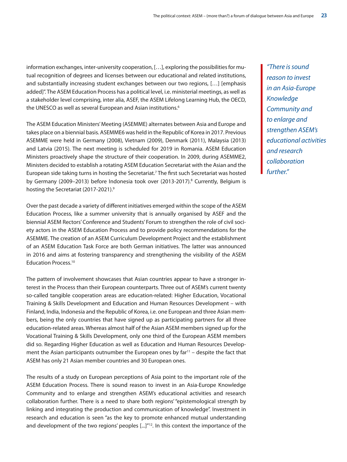information exchanges, inter-university cooperation, […], exploring the possibilities for mutual recognition of degrees and licenses between our educational and related institutions, and substantially increasing student exchanges between our two regions, […] [emphasis added]". The ASEM Education Process has a political level, i.e. ministerial meetings, as well as a stakeholder level comprising, inter alia, ASEF, the ASEM Lifelong Learning Hub, the OECD, the UNESCO as well as several European and Asian institutions.<sup>6</sup>

The ASEM Education Ministers' Meeting (ASEMME) alternates between Asia and Europe and takes place on a biennial basis. ASEMME6 was held in the Republic of Korea in 2017. Previous ASEMME were held in Germany (2008), Vietnam (2009), Denmark (2011), Malaysia (2013) and Latvia (2015). The next meeting is scheduled for 2019 in Romania. ASEM Education Ministers proactively shape the structure of their cooperation. In 2009, during ASEMME2, Ministers decided to establish a rotating ASEM Education Secretariat with the Asian and the European side taking turns in hosting the Secretariat.7 The first such Secretariat was hosted by Germany (2009–2013) before Indonesia took over (2013-2017).<sup>8</sup> Currently, Belgium is hosting the Secretariat (2017-2021).<sup>9</sup>

Over the past decade a variety of different initiatives emerged within the scope of the ASEM Education Process, like a summer university that is annually organised by ASEF and the biennial ASEM Rectors' Conference and Students' Forum to strengthen the role of civil society actors in the ASEM Education Process and to provide policy recommendations for the ASEMME. The creation of an ASEM Curriculum Development Project and the establishment of an ASEM Education Task Force are both German initiatives. The latter was announced in 2016 and aims at fostering transparency and strengthening the visibility of the ASEM Education Process.<sup>10</sup>

The pattern of involvement showcases that Asian countries appear to have a stronger interest in the Process than their European counterparts. Three out of ASEM's current twenty so-called tangible cooperation areas are education-related: Higher Education, Vocational Training & Skills Development and Education and Human Resources Development – with Finland, India, Indonesia and the Republic of Korea, i.e. one European and three Asian members, being the only countries that have signed up as participating partners for all three education-related areas. Whereas almost half of the Asian ASEM members signed up for the Vocational Training & Skills Development, only one third of the European ASEM members did so. Regarding Higher Education as well as Education and Human Resources Development the Asian participants outnumber the European ones by far<sup>11</sup> - despite the fact that ASEM has only 21 Asian member countries and 30 European ones.

The results of a study on European perceptions of Asia point to the important role of the ASEM Education Process. There is sound reason to invest in an Asia-Europe Knowledge Community and to enlarge and strengthen ASEM's educational activities and research collaboration further. There is a need to share both regions' "epistemological strength by linking and integrating the production and communication of knowledge". Investment in research and education is seen "as the key to promote enhanced mutual understanding and development of the two regions' peoples [...]"<sup>12</sup>. In this context the importance of the

"There is sound reason to invest in an Asia-Europe Knowledge Community and to enlarge and strengthen ASEM's educational activities and research collaboration further."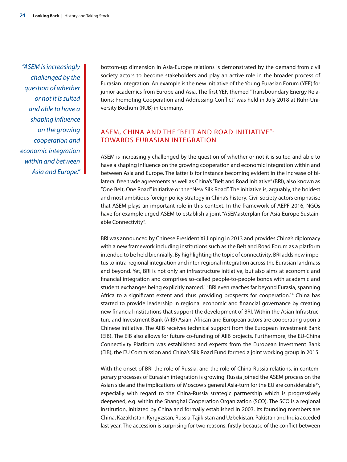"ASEM is increasingly challenged by the question of whether or not it is suited and able to have a shaping influence on the growing cooperation and economic integration within and between Asia and Europe."

bottom-up dimension in Asia-Europe relations is demonstrated by the demand from civil society actors to become stakeholders and play an active role in the broader process of Eurasian integration. An example is the new initiative of the Young Eurasian Forum (YEF) for junior academics from Europe and Asia. The first YEF, themed "Transboundary Energy Relations: Promoting Cooperation and Addressing Conflict" was held in July 2018 at Ruhr-University Bochum (RUB) in Germany.

#### ASEM, CHINA AND THE "BELT AND ROAD INITIATIVE": TOWARDS EURASIAN INTEGRATION

ASEM is increasingly challenged by the question of whether or not it is suited and able to have a shaping influence on the growing cooperation and economic integration within and between Asia and Europe. The latter is for instance becoming evident in the increase of bilateral free trade agreements as well as China's "Belt and Road Initiative" (BRI), also known as "One Belt, One Road" initiative or the "New Silk Road". The initiative is, arguably, the boldest and most ambitious foreign policy strategy in China's history. Civil society actors emphasise that ASEM plays an important role in this context. In the framework of AEPF 2016, NGOs have for example urged ASEM to establish a joint "ASEMasterplan for Asia-Europe Sustainable Connectivity".

BRI was announced by Chinese President Xi Jinping in 2013 and provides China's diplomacy with a new framework including institutions such as the Belt and Road Forum as a platform intended to be held biennially. By highlighting the topic of connectivity, BRI adds new impetus to intra-regional integration and inter-regional integration across the Eurasian landmass and beyond. Yet, BRI is not only an infrastructure initiative, but also aims at economic and financial integration and comprises so-called people-to-people bonds with academic and student exchanges being explicitly named.<sup>13</sup> BRI even reaches far beyond Eurasia, spanning Africa to a significant extent and thus providing prospects for cooperation.<sup>14</sup> China has started to provide leadership in regional economic and financial governance by creating new financial institutions that support the development of BRI. Within the Asian Infrastructure and Investment Bank (AIIB) Asian, African and European actors are cooperating upon a Chinese initiative. The AIIB receives technical support from the European Investment Bank (EIB). The EIB also allows for future co-funding of AIIB projects. Furthermore, the EU-China Connectivity Platform was established and experts from the European Investment Bank (EIB), the EU Commission and China's Silk Road Fund formed a joint working group in 2015.

With the onset of BRI the role of Russia, and the role of China-Russia relations, in contemporary processes of Eurasian integration is growing. Russia joined the ASEM process on the Asian side and the implications of Moscow's general Asia-turn for the EU are considerable<sup>15</sup>, especially with regard to the China-Russia strategic partnership which is progressively deepened, e.g. within the Shanghai Cooperation Organization (SCO). The SCO is a regional institution, initiated by China and formally established in 2003. Its founding members are China, Kazakhstan, Kyrgyzstan, Russia, Tajikistan and Uzbekistan. Pakistan and India acceded last year. The accession is surprising for two reasons: firstly because of the conflict between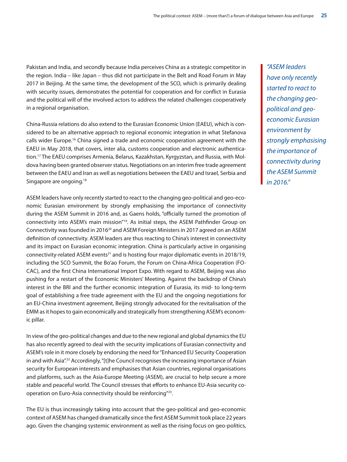Pakistan and India, and secondly because India perceives China as a strategic competitor in the region. India – like Japan – thus did not participate in the Belt and Road Forum in May 2017 in Beijing. At the same time, the development of the SCO, which is primarily dealing with security issues, demonstrates the potential for cooperation and for conflict in Eurasia and the political will of the involved actors to address the related challenges cooperatively in a regional organisation.

China-Russia relations do also extend to the Eurasian Economic Union (EAEU), which is considered to be an alternative approach to regional economic integration in what Stefanova calls wider Europe.16 China signed a trade and economic cooperation agreement with the EAEU in May 2018, that covers, inter alia, customs cooperation and electronic authentication.17 The EAEU comprises Armenia, Belarus, Kazakhstan, Kyrgyzstan, and Russia, with Moldova having been granted observer status. Negotiations on an interim free trade agreement between the EAEU and Iran as well as negotiations between the EAEU and Israel, Serbia and Singapore are ongoing.<sup>18</sup>

ASEM leaders have only recently started to react to the changing geo-political and geo-economic Eurasian environment by strongly emphasising the importance of connectivity during the ASEM Summit in 2016 and, as Gaens holds, "officially turned the promotion of connectivity into ASEM's main mission"<sup>19</sup>. As initial steps, the ASEM Pathfinder Group on Connectivity was founded in 2016<sup>20</sup> and ASEM Foreign Ministers in 2017 agreed on an ASEM definition of connectivity. ASEM leaders are thus reacting to China's interest in connectivity and its impact on Eurasian economic integration. China is particularly active in organising connectivity-related ASEM events<sup>21</sup> and is hosting four major diplomatic events in 2018/19, including the SCO Summit, the Bo'ao Forum, the Forum on China-Africa Cooperation (FO-CAC), and the first China International Import Expo. With regard to ASEM, Beijing was also pushing for a restart of the Economic Ministers' Meeting. Against the backdrop of China's interest in the BRI and the further economic integration of Eurasia, its mid- to long-term goal of establishing a free trade agreement with the EU and the ongoing negotiations for an EU-China investment agreement, Beijing strongly advocated for the revitalisation of the EMM as it hopes to gain economically and strategically from strengthening ASEM's economic pillar.

In view of the geo-political changes and due to the new regional and global dynamics the EU has also recently agreed to deal with the security implications of Eurasian connectivity and ASEM's role in it more closely by endorsing the need for "Enhanced EU Security Cooperation in and with Asia".<sup>22</sup> Accordingly, "[t]he Council recognises the increasing importance of Asian security for European interests and emphasises that Asian countries, regional organisations and platforms, such as the Asia-Europe Meeting (ASEM), are crucial to help secure a more stable and peaceful world. The Council stresses that efforts to enhance EU-Asia security cooperation on Euro-Asia connectivity should be reinforcing"23.

The EU is thus increasingly taking into account that the geo-political and geo-economic context of ASEM has changed dramatically since the first ASEM Summit took place 22 years ago. Given the changing systemic environment as well as the rising focus on geo-politics, "ASEM leaders have only recently started to react to the changing geopolitical and geoeconomic Eurasian environment by strongly emphasising the importance of connectivity during the ASEM Summit in 2016."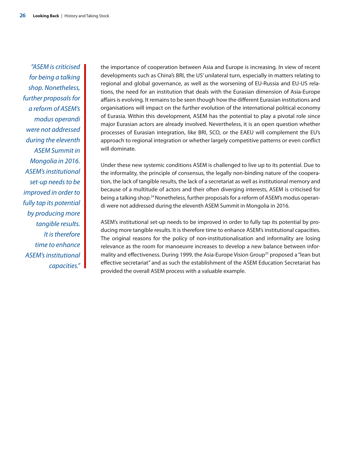"ASEM is criticised for being a talking shop. Nonetheless, further proposals for a reform of ASEM's modus operandi were not addressed during the eleventh ASEM Summit in Mongolia in 2016. ASEM's institutional set-up needs to be improved in order to fully tap its potential by producing more tangible results. It is therefore time to enhance ASEM's institutional capacities." the importance of cooperation between Asia and Europe is increasing. In view of recent developments such as China's BRI, the US' unilateral turn, especially in matters relating to regional and global governance, as well as the worsening of EU-Russia and EU-US relations, the need for an institution that deals with the Eurasian dimension of Asia-Europe affairs is evolving. It remains to be seen though how the different Eurasian institutions and organisations will impact on the further evolution of the international political economy of Eurasia. Within this development, ASEM has the potential to play a pivotal role since major Eurasian actors are already involved. Nevertheless, it is an open question whether processes of Eurasian integration, like BRI, SCO, or the EAEU will complement the EU's approach to regional integration or whether largely competitive patterns or even conflict will dominate.

Under these new systemic conditions ASEM is challenged to live up to its potential. Due to the informality, the principle of consensus, the legally non-binding nature of the cooperation, the lack of tangible results, the lack of a secretariat as well as institutional memory and because of a multitude of actors and their often diverging interests, ASEM is criticised for being a talking shop.24 Nonetheless, further proposals for a reform of ASEM's modus operandi were not addressed during the eleventh ASEM Summit in Mongolia in 2016.

ASEM's institutional set-up needs to be improved in order to fully tap its potential by producing more tangible results. It is therefore time to enhance ASEM's institutional capacities. The original reasons for the policy of non-institutionalisation and informality are losing relevance as the room for manoeuvre increases to develop a new balance between informality and effectiveness. During 1999, the Asia-Europe Vision Group<sup>25</sup> proposed a "lean but effective secretariat" and as such the establishment of the ASEM Education Secretariat has provided the overall ASEM process with a valuable example.